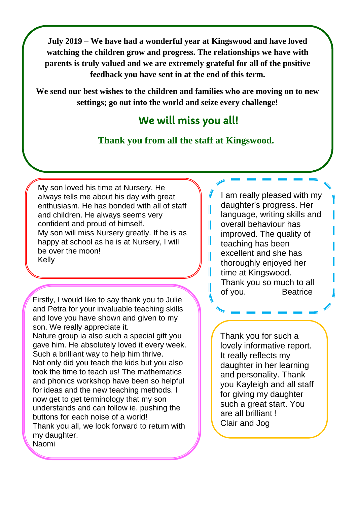**July 2019 – We have had a wonderful year at Kingswood and have loved watching the children grow and progress. The relationships we have with parents is truly valued and we are extremely grateful for all of the positive feedback you have sent in at the end of this term.** 

**We send our best wishes to the children and families who are moving on to new settings; go out into the world and seize every challenge!** 

## We will miss you all!

## **Thank you from all the staff at Kingswood.**

Ш

My son loved his time at Nursery. He always tells me about his day with great enthusiasm. He has bonded with all of staff and children. He always seems very confident and proud of himself. My son will miss Nursery greatly. If he is as happy at school as he is at Nursery, I will be over the moon! Kelly

Firstly, I would like to say thank you to Julie and Petra for your invaluable teaching skills and love you have shown and given to my son. We really appreciate it. Nature group ia also such a special gift you gave him. He absolutely loved it every week. Such a brilliant way to help him thrive.

Not only did you teach the kids but you also took the time to teach us! The mathematics and phonics workshop have been so helpful for ideas and the new teaching methods. I now get to get terminology that my son understands and can follow ie. pushing the buttons for each noise of a world! Thank you all, we look forward to return with my daughter. Naomi

I am really pleased with my daughter's progress. Her language, writing skills and overall behaviour has improved. The quality of teaching has been excellent and she has thoroughly enjoyed her time at Kingswood. Thank you so much to all of you. Beatrice

Thank you for such a lovely informative report. It really reflects my daughter in her learning and personality. Thank you Kayleigh and all staff for giving my daughter such a great start. You are all brilliant ! Clair and Jog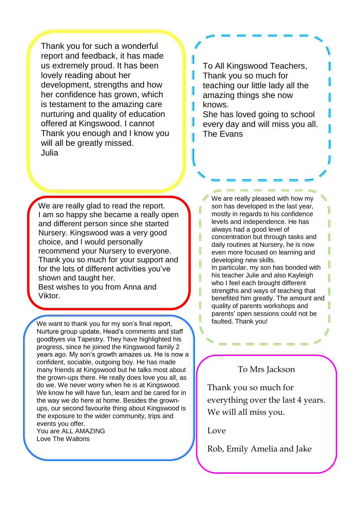Thank you for such a wonderful report and feedback, it has made us extremely proud. It has been lovely reading about her development, strengths and how her confidence has grown, which is testament to the amazing care nurturing and quality of education offered at Kingswood. I cannot Thank you enough and I know you will all be greatly missed. Julia

To All Kingswood Teachers, Thank you so much for teaching our little lady all the amazing things she now knows.

I

Ш

II

I

II

II

I

She has loved going to school every day and will miss you all. The Evans

We are really glad to read the report. I am so happy she became a really open and different person since she started Nursery. Kingswood was a very good choice, and I would personally recommend your Nursery to everyone. Thank you so much for your support and for the lots of different activities you've shown and taught her.

Best wishes to you from Anna and Viktor.

We want to thank you for my son's final report,  $\parallel$  faulted. Thank you! Nurture group update, Head's comments and staff goodbyes via Tapestry. They have highlighted his progress, since he joined the Kingswood family 2 years ago. My son's growth amazes us. He is now a confident, sociable, outgoing boy. He has made many friends at Kingswood but he talks most about the grown-ups there. He really does love you all, as do we. We never worry when he is at Kingswood. We know he will have fun, learn and be cared for in the way we do here at home. Besides the grownups, our second favourite thing about Kingswood is the exposure to the wider community, trips and events you offer. You are ALL AMAZING Love The Waltons

We are really pleased with how my son has developed in the last year, mostly in regards to his confidence levels and independence. He has always had a good level of concentration but through tasks and daily routines at Nursery, he is now even more focused on learning and developing new skills. In particular, my son has bonded with his teacher Julie and also Kayleigh who I feel each brought different strengths and ways of teaching that benefited him greatly. The amount and quality of parents workshops and parents' open sessions could not be

II

II

I

II

I

I

## To Mrs Jackson

Thank you so much for everything over the last 4 years. We will all miss you.

## Love

Rob, Emily Amelia and Jake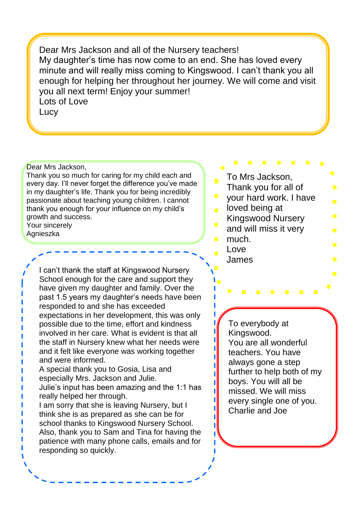Dear Mrs Jackson and all of the Nursery teachers! My daughter's time has now come to an end. She has loved every minute and will really miss coming to Kingswood. I can't thank you all enough for helping her throughout her journey. We will come and visit you all next term! Enjoy your summer! Lots of Love **Lucy** 

Dear Mrs Jackson,

Thank you so much for caring for my child each and every day. I'll never forget the difference you've made in my daughter's life. Thank you for being incredibly passionate about teaching young children. I cannot thank you enough for your influence on my child's growth and success. Your sincerely

Agnieszka

I can't thank the staff at Kingswood Nursery School enough for the care and support they have given my daughter and family. Over the past 1.5 years my daughter's needs have been responded to and she has exceeded expectations in her development, this was only possible due to the time, effort and kindness involved in her care. What is evident is that all the staff in Nursery knew what her needs were and it felt like everyone was working together and were informed.

- A special thank you to Gosia, Lisa and especially Mrs. Jackson and Julie.
- Julie's input has been amazing and the 1:1 has really helped her through.

I am sorry that she is leaving Nursery, but I think she is as prepared as she can be for school thanks to Kingswood Nursery School. Also, thank you to Sam and Tina for having the patience with many phone calls, emails and for responding so quickly.

To Mrs Jackson, Thank you for all of your hard work. I have loved being at  $\mathbf{r}$ Kingswood Nursery  $\overline{\phantom{a}}$ and will miss it very much. Love James

> To everybody at Kingswood. You are all wonderful teachers. You have always gone a step further to help both of my boys. You will all be missed. We will miss every single one of you. Charlie and Joe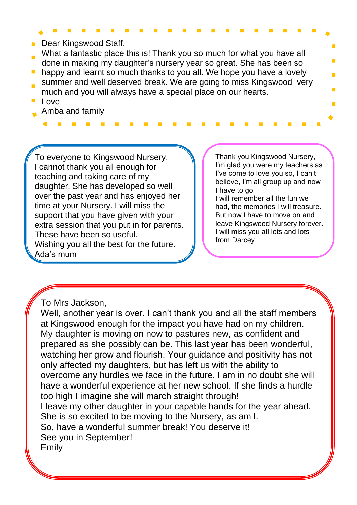- **Dear Kingswood Staff,**
- What a fantastic place this is! Thank you so much for what you have all done in making my daughter's nursery year so great. She has been so
- happy and learnt so much thanks to you all. We hope you have a lovely summer and well deserved break. We are going to miss Kingswood very
- much and you will always have a special place on our hearts.
- Love
- Amba and family

To everyone to Kingswood Nursery, I cannot thank you all enough for teaching and taking care of my daughter. She has developed so well over the past year and has enjoyed her time at your Nursery. I will miss the support that you have given with your extra session that you put in for parents. These have been so useful. Wishing you all the best for the future. Ada's mum

Thank you Kingswood Nursery, I'm glad you were my teachers as I've come to love you so, I can't believe, I'm all group up and now I have to go! I will remember all the fun we had, the memories I will treasure. But now I have to move on and leave Kingswood Nursery forever. I will miss you all lots and lots

from Darcey

To Mrs Jackson,

Well, another year is over. I can't thank you and all the staff members at Kingswood enough for the impact you have had on my children. My daughter is moving on now to pastures new, as confident and prepared as she possibly can be. This last year has been wonderful, watching her grow and flourish. Your guidance and positivity has not only affected my daughters, but has left us with the ability to overcome any hurdles we face in the future. I am in no doubt she will have a wonderful experience at her new school. If she finds a hurdle too high I imagine she will march straight through! I leave my other daughter in your capable hands for the year ahead. She is so excited to be moving to the Nursery, as am I. So, have a wonderful summer break! You deserve it! See you in September! Emily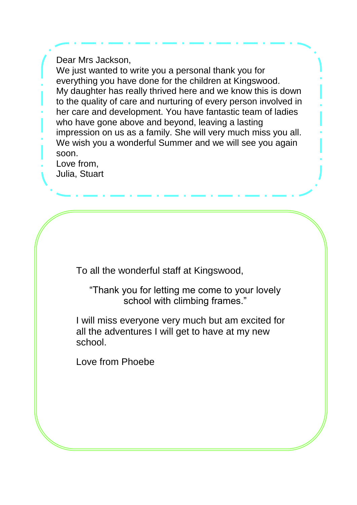Dear Mrs Jackson,

We just wanted to write you a personal thank you for everything you have done for the children at Kingswood. My daughter has really thrived here and we know this is down to the quality of care and nurturing of every person involved in her care and development. You have fantastic team of ladies who have gone above and beyond, leaving a lasting impression on us as a family. She will very much miss you all. We wish you a wonderful Summer and we will see you again soon.

Love from, Julia, Stuart

To all the wonderful staff at Kingswood,

"Thank you for letting me come to your lovely school with climbing frames."

I will miss everyone very much but am excited for all the adventures I will get to have at my new school.

Love from Phoebe